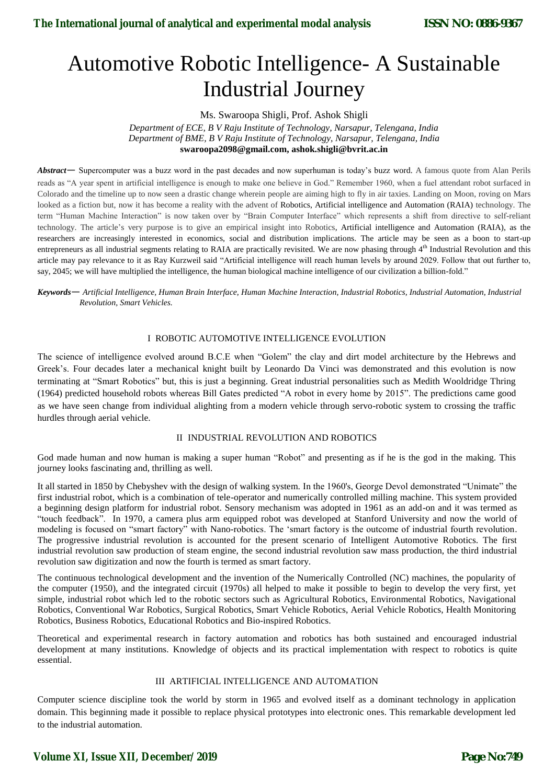# Automotive Robotic Intelligence- A Sustainable Industrial Journey

Ms. Swaroopa Shigli, Prof. Ashok Shigli *Department of ECE, B V Raju Institute of Technology, Narsapur, Telengana, India Department of BME, B V Raju Institute of Technology, Narsapur, Telengana, India* **swaroopa2098@gmail.com, ashok.shigli@bvrit.ac.in**

*Abstract*— Supercomputer was a buzz word in the past decades and now superhuman is today"s buzz word. A famous quote from Alan Perils reads as "A year spent in artificial intelligence is enough to make one believe in God." Remember 1960, when a fuel attendant robot surfaced in Colorado and the timeline up to now seen a drastic change wherein people are aiming high to fly in air taxies. Landing on Moon, roving on Mars looked as a fiction but, now it has become a reality with the advent of Robotics, Artificial intelligence and Automation (RAIA) technology. The term "Human Machine Interaction" is now taken over by "Brain Computer Interface" which represents a shift from directive to self-reliant technology. The article"s very purpose is to give an empirical insight into Robotics, Artificial intelligence and Automation (RAIA), as the researchers are increasingly interested in economics, social and distribution implications. The article may be seen as a boon to start-up entrepreneurs as all industrial segments relating to RAIA are practically revisited. We are now phasing through 4<sup>th</sup> Industrial Revolution and this article may pay relevance to it as Ray Kurzweil said "Artificial intelligence will reach human levels by around 2029. Follow that out further to, say, 2045; we will have multiplied the intelligence, the human biological machine intelligence of our civilization a billion-fold."

*Keywords*— *Artificial Intelligence, Human Brain Interface, Human Machine Interaction, Industrial Robotics, Industrial Automation, Industrial Revolution, Smart Vehicles.*

### I ROBOTIC AUTOMOTIVE INTELLIGENCE EVOLUTION

The science of intelligence evolved around B.C.E when "Golem" the clay and dirt model architecture by the Hebrews and Greek"s. Four decades later a mechanical knight built by Leonardo Da Vinci was demonstrated and this evolution is now terminating at "Smart Robotics" but, this is just a beginning. Great industrial personalities such as Medith Wooldridge Thring (1964) predicted household robots whereas Bill Gates predicted "A robot in every home by 2015". The predictions came good as we have seen change from individual alighting from a modern vehicle through servo-robotic system to crossing the traffic hurdles through aerial vehicle.

#### II INDUSTRIAL REVOLUTION AND ROBOTICS

God made human and now human is making a super human "Robot" and presenting as if he is the god in the making. This journey looks fascinating and, thrilling as well.

It all started in 1850 by Chebyshev with the design of walking system. In the 1960's, George Devol demonstrated "Unimate" the first industrial robot, which is a combination of tele-operator and numerically controlled milling machine. This system provided a beginning design platform for industrial robot. Sensory mechanism was adopted in 1961 as an add-on and it was termed as "touch feedback". In 1970, a camera plus arm equipped robot was developed at Stanford University and now the world of modeling is focused on "smart factory" with Nano-robotics. The "smart factory is the outcome of industrial fourth revolution. The progressive industrial revolution is accounted for the present scenario of Intelligent Automotive Robotics. The first industrial revolution saw production of steam engine, the second industrial revolution saw mass production, the third industrial revolution saw digitization and now the fourth is termed as smart factory.

The continuous technological development and the invention of the Numerically Controlled (NC) machines, the popularity of the computer (1950), and the integrated circuit (1970s) all helped to make it possible to begin to develop the very first, yet simple, industrial robot which led to the robotic sectors such as Agricultural Robotics, Environmental Robotics, Navigational Robotics, Conventional War Robotics, Surgical Robotics, Smart Vehicle Robotics, Aerial Vehicle Robotics, Health Monitoring Robotics, Business Robotics, Educational Robotics and Bio-inspired Robotics.

Theoretical and experimental research in factory automation and robotics has both sustained and encouraged industrial development at many institutions. Knowledge of objects and its practical implementation with respect to robotics is quite essential.

#### III ARTIFICIAL INTELLIGENCE AND AUTOMATION

Computer science discipline took the world by storm in 1965 and evolved itself as a dominant technology in application domain. This beginning made it possible to replace physical prototypes into electronic ones. This remarkable development led to the industrial automation.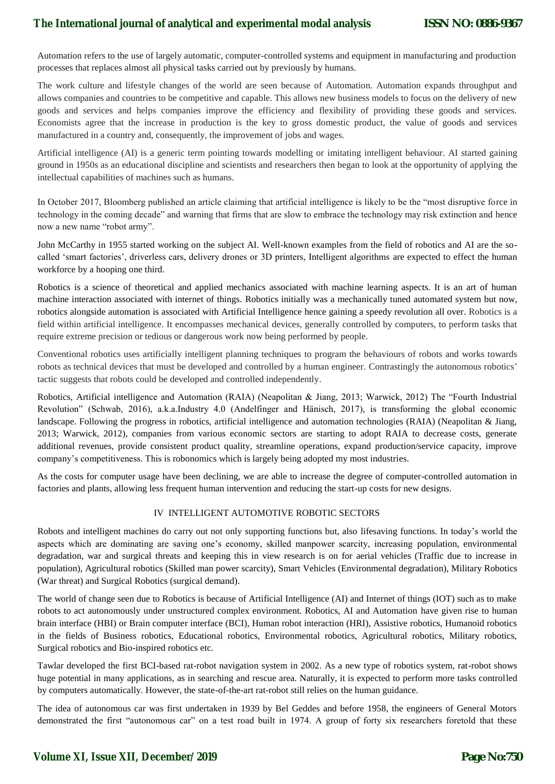Automation refers to the use of largely automatic, computer-controlled systems and equipment in manufacturing and production processes that replaces almost all physical tasks carried out by previously by humans.

The work culture and lifestyle changes of the world are seen because of Automation. Automation expands throughput and allows companies and countries to be competitive and capable. This allows new business models to focus on the delivery of new goods and services and helps companies improve the efficiency and flexibility of providing these goods and services. Economists agree that the increase in production is the key to gross domestic product, the value of goods and services manufactured in a country and, consequently, the improvement of jobs and wages.

Artificial intelligence (AI) is a generic term pointing towards modelling or imitating intelligent behaviour. AI started gaining ground in 1950s as an educational discipline and scientists and researchers then began to look at the opportunity of applying the intellectual capabilities of machines such as humans.

In October 2017, Bloomberg published an article claiming that artificial intelligence is likely to be the "most disruptive force in technology in the coming decade" and warning that firms that are slow to embrace the technology may risk extinction and hence now a new name "robot army".

John McCarthy in 1955 started working on the subject AI. Well-known examples from the field of robotics and AI are the socalled "smart factories", driverless cars, delivery drones or 3D printers, Intelligent algorithms are expected to effect the human workforce by a hooping one third.

Robotics is a science of theoretical and applied mechanics associated with machine learning aspects. It is an art of human machine interaction associated with internet of things. Robotics initially was a mechanically tuned automated system but now, robotics alongside automation is associated with Artificial Intelligence hence gaining a speedy revolution all over. Robotics is a field within artificial intelligence. It encompasses mechanical devices, generally controlled by computers, to perform tasks that require extreme precision or tedious or dangerous work now being performed by people.

Conventional robotics uses artificially intelligent planning techniques to program the behaviours of robots and works towards robots as technical devices that must be developed and controlled by a human engineer. Contrastingly the autonomous robotics' tactic suggests that robots could be developed and controlled independently.

Robotics, Artificial intelligence and Automation (RAIA) (Neapolitan & Jiang, 2013; Warwick, 2012) The "Fourth Industrial Revolution" (Schwab, 2016), a.k.a.Industry 4.0 (Andelfinger and Hänisch, 2017), is transforming the global economic landscape. Following the progress in robotics, artificial intelligence and automation technologies (RAIA) (Neapolitan & Jiang, 2013; Warwick, 2012), companies from various economic sectors are starting to adopt RAIA to decrease costs, generate additional revenues, provide consistent product quality, streamline operations, expand production/service capacity, improve company"s competitiveness. This is robonomics which is largely being adopted my most industries.

As the costs for computer usage have been declining, we are able to increase the degree of computer-controlled automation in factories and plants, allowing less frequent human intervention and reducing the start-up costs for new designs.

#### IV INTELLIGENT AUTOMOTIVE ROBOTIC SECTORS

Robots and intelligent machines do carry out not only supporting functions but, also lifesaving functions. In today"s world the aspects which are dominating are saving one's economy, skilled manpower scarcity, increasing population, environmental degradation, war and surgical threats and keeping this in view research is on for aerial vehicles (Traffic due to increase in population), Agricultural robotics (Skilled man power scarcity), Smart Vehicles (Environmental degradation), Military Robotics (War threat) and Surgical Robotics (surgical demand).

The world of change seen due to Robotics is because of Artificial Intelligence (AI) and Internet of things (IOT) such as to make robots to act autonomously under unstructured complex environment. Robotics, AI and Automation have given rise to human brain interface (HBI) or Brain computer interface (BCI), Human robot interaction (HRI), Assistive robotics, Humanoid robotics in the fields of Business robotics, Educational robotics, Environmental robotics, Agricultural robotics, Military robotics, Surgical robotics and Bio-inspired robotics etc.

Tawlar developed the first BCI-based rat-robot navigation system in 2002. As a new type of robotics system, rat-robot shows huge potential in many applications, as in searching and rescue area. Naturally, it is expected to perform more tasks controlled by computers automatically. However, the state-of-the-art rat-robot still relies on the human guidance.

The idea of autonomous car was first undertaken in 1939 by Bel Geddes and before 1958, the engineers of General Motors demonstrated the first "autonomous car" on a test road built in 1974. A group of forty six researchers foretold that these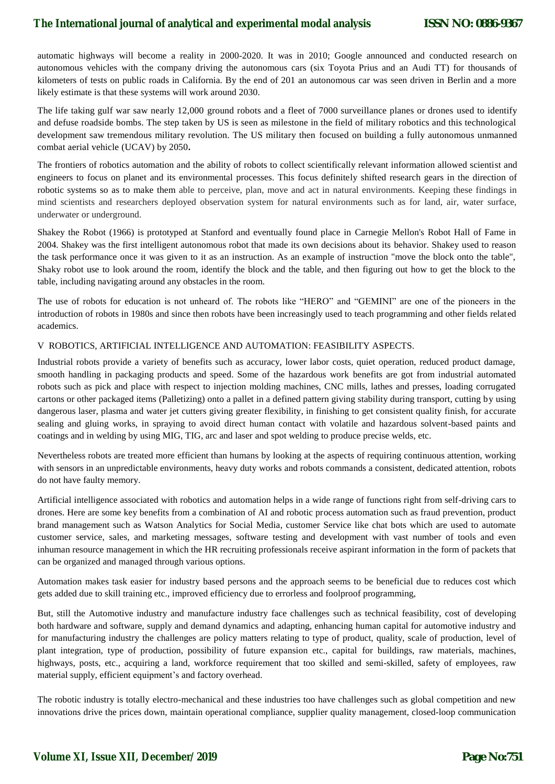automatic highways will become a reality in 2000-2020. It was in 2010; Google announced and conducted research on autonomous vehicles with the company driving the autonomous cars (six Toyota Prius and an Audi TT) for thousands of kilometers of tests on public roads in California. By the end of 201 an autonomous car was seen driven in Berlin and a more likely estimate is that these systems will work around 2030.

The life taking gulf war saw nearly 12,000 ground robots and a fleet of 7000 surveillance planes or drones used to identify and defuse roadside bombs. The step taken by US is seen as milestone in the field of military robotics and this technological development saw tremendous military revolution. The US military then focused on building a fully autonomous unmanned combat aerial vehicle (UCAV) by 2050**.**

The frontiers of robotics automation and the ability of robots to collect scientifically relevant information allowed scientist and engineers to focus on planet and its environmental processes. This focus definitely shifted research gears in the direction of robotic systems so as to make them able to perceive, plan, move and act in natural environments. Keeping these findings in mind scientists and researchers deployed observation system for natural environments such as for land, air, water surface, underwater or underground.

Shakey the Robot (1966) is prototyped at Stanford and eventually found place in Carnegie Mellon's Robot Hall of Fame in 2004. Shakey was the first intelligent autonomous robot that made its own decisions about its behavior. Shakey used to reason the task performance once it was given to it as an instruction. As an example of instruction "move the block onto the table", Shaky robot use to look around the room, identify the block and the table, and then figuring out how to get the block to the table, including navigating around any obstacles in the room.

The use of robots for education is not unheard of. The robots like "HERO" and "GEMINI" are one of the pioneers in the introduction of robots in 1980s and since then robots have been increasingly used to teach programming and other fields related academics.

#### V ROBOTICS, ARTIFICIAL INTELLIGENCE AND AUTOMATION: FEASIBILITY ASPECTS.

Industrial robots provide a variety of benefits such as accuracy, lower labor costs, quiet operation, reduced product damage, smooth handling in packaging products and speed. Some of the hazardous work benefits are got from industrial automated robots such as pick and place with respect to injection molding machines, CNC mills, lathes and presses, loading corrugated cartons or other packaged items (Palletizing) onto a pallet in a defined pattern giving stability during transport, cutting by using dangerous laser, plasma and water jet cutters giving greater flexibility, in finishing to get consistent quality finish, for accurate sealing and gluing works, in spraying to avoid direct human contact with volatile and hazardous solvent-based paints and coatings and in welding by using MIG, TIG, arc and laser and spot welding to produce precise welds, etc.

Nevertheless robots are treated more efficient than humans by looking at the aspects of requiring continuous attention, working with sensors in an unpredictable environments, heavy duty works and robots commands a consistent, dedicated attention, robots do not have faulty memory.

Artificial intelligence associated with robotics and automation helps in a wide range of functions right from self-driving cars to drones. Here are some key benefits from a combination of AI and robotic process automation such as fraud prevention, product brand management such as Watson Analytics for Social Media, customer Service like chat bots which are used to automate customer service, sales, and marketing messages, software testing and development with vast number of tools and even inhuman resource management in which the HR recruiting professionals receive aspirant information in the form of packets that can be organized and managed through various options.

Automation makes task easier for industry based persons and the approach seems to be beneficial due to reduces cost which gets added due to skill training etc., improved efficiency due to errorless and foolproof programming,

But, still the Automotive industry and manufacture industry face challenges such as technical feasibility, cost of developing both hardware and software, supply and demand dynamics and adapting, enhancing human capital for automotive industry and for manufacturing industry the challenges are policy matters relating to type of product, quality, scale of production, level of plant integration, type of production, possibility of future expansion etc., capital for buildings, raw materials, machines, highways, posts, etc., acquiring a land, workforce requirement that too skilled and semi-skilled, safety of employees, raw material supply, efficient equipment's and factory overhead.

The robotic industry is totally electro-mechanical and these industries too have challenges such as global competition and new innovations drive the prices down, maintain operational compliance, supplier quality management, closed-loop communication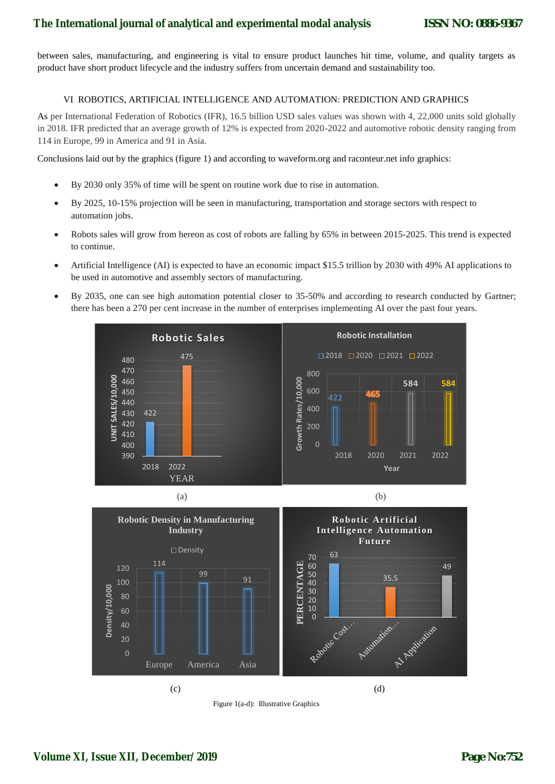between sales, manufacturing, and engineering is vital to ensure product launches hit time, volume, and quality targets as product have short product lifecycle and the industry suffers from uncertain demand and sustainability too.

## VI ROBOTICS, ARTIFICIAL INTELLIGENCE AND AUTOMATION: PREDICTION AND GRAPHICS

As per International Federation of Robotics (IFR), 16.5 billion USD sales values was shown with 4, 22,000 units sold globally in 2018. IFR predicted that an average growth of 12% is expected from 2020-2022 and automotive robotic density ranging from 114 in Europe, 99 in America and 91 in Asia.

Conclusions laid out by the graphics (figure 1) and according to waveform.org and raconteur.net info graphics:

- By 2030 only 35% of time will be spent on routine work due to rise in automation.
- By 2025, 10-15% projection will be seen in manufacturing, transportation and storage sectors with respect to automation jobs.
- Robots sales will grow from hereon as cost of robots are falling by 65% in between 2015-2025. This trend is expected to continue.
- Artificial Intelligence (AI) is expected to have an economic impact \$15.5 trillion by 2030 with 49% AI applications to be used in automotive and assembly sectors of manufacturing.
- By 2035, one can see high automation potential closer to 35-50% and according to research conducted by Gartner; there has been a 270 per cent increase in the number of enterprises implementing AI over the past four years.